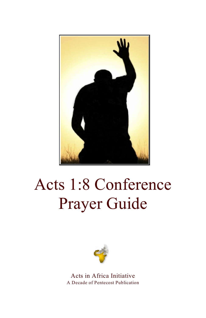

# Acts 1:8 Conference Prayer Guide



Acts in Africa Initiative A Decade of Pentecost Publication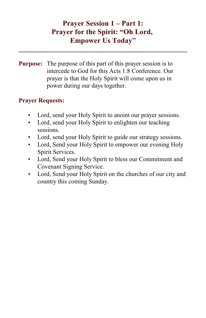# **Prayer Session 1 – Part 1: Prayer for the Spirit: "Oh Lord, Empower Us Today"**

**Purpose:** The purpose of this part of this prayer session is to intercede to God for this Acts 1:8 Conference. Our prayer is that the Holy Spirit will come upon us in power during our days together.

- Lord, send your Holy Spirit to anoint our prayer sessions.
- Lord, send your Holy Spirit to enlighten our teaching sessions.
- Lord, send your Holy Spirit to guide our strategy sessions.
- Lord, Send your Holy Spirit to empower our evening Holy Spirit Services.
- Lord, Send your Holy Spirit to bless our Commitment and Covenant Signing Service.
- Lord, Send your Holy Spirit on the churches of our city and country this coming Sunday.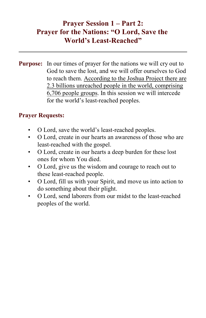## **Prayer Session 1 – Part 2: Prayer for the Nations: "O Lord, Save the World's Least-Reached"**

**Purpose:** In our times of prayer for the nations we will cry out to God to save the lost, and we will offer ourselves to God to reach them. According to the Joshua Project there are 2.3 billions unreached people in the world, comprising 6,706 people groups. In this session we will intercede for the world's least-reached peoples.

- O Lord, save the world's least-reached peoples.
- O Lord, create in our hearts an awareness of those who are least-reached with the gospel.
- O Lord, create in our hearts a deep burden for these lost ones for whom You died.
- O Lord, give us the wisdom and courage to reach out to these least-reached people.
- O Lord, fill us with your Spirit, and move us into action to do something about their plight.
- O Lord, send laborers from our midst to the least-reached peoples of the world.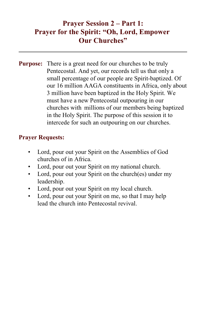# **Prayer Session 2 – Part 1: Prayer for the Spirit: "Oh, Lord, Empower Our Churches"**

**Purpose:** There is a great need for our churches to be truly Pentecostal. And yet, our records tell us that only a small percentage of our people are Spirit-baptized. Of our 16 million AAGA constituents in Africa, only about 3 million have been baptized in the Holy Spirit. We must have a new Pentecostal outpouring in our churches with millions of our members being baptized in the Holy Spirit. The purpose of this session it to intercede for such an outpouring on our churches.

- Lord, pour out your Spirit on the Assemblies of God churches of in Africa.
- Lord, pour out your Spirit on my national church.
- Lord, pour out your Spirit on the church(es) under my leadership.
- Lord, pour out your Spirit on my local church.
- Lord, pour out your Spirit on me, so that I may help lead the church into Pentecostal revival.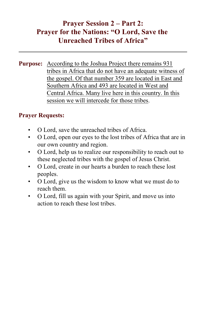# **Prayer Session 2 – Part 2: Prayer for the Nations: "O Lord, Save the Unreached Tribes of Africa"**

**Purpose:** According to the Joshua Project there remains 931 tribes in Africa that do not have an adequate witness of the gospel. Of that number 359 are located in East and Southern Africa and 493 are located in West and Central Africa. Many live here in this country. In this session we will intercede for those tribes.

- O Lord, save the unreached tribes of Africa.
- O Lord, open our eyes to the lost tribes of Africa that are in our own country and region.
- O Lord, help us to realize our responsibility to reach out to these neglected tribes with the gospel of Jesus Christ.
- O Lord, create in our hearts a burden to reach these lost peoples.
- O Lord, give us the wisdom to know what we must do to reach them.
- O Lord, fill us again with your Spirit, and move us into action to reach these lost tribes.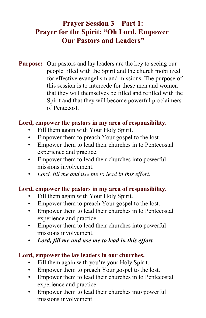# **Prayer Session 3 – Part 1: Prayer for the Spirit: "Oh Lord, Empower Our Pastors and Leaders"**

**Purpose:** Our pastors and lay leaders are the key to seeing our people filled with the Spirit and the church mobilized for effective evangelism and missions. The purpose of this session is to intercede for these men and women that they will themselves be filled and refilled with the Spirit and that they will become powerful proclaimers of Pentecost.

#### **Lord, empower the pastors in my area of responsibility.**

- Fill them again with Your Holy Spirit.
- Empower them to preach Your gospel to the lost.
- Empower them to lead their churches in to Pentecostal experience and practice.
- Empower them to lead their churches into powerful missions involvement.
- *Lord, fill me and use me to lead in this effort.*

#### **Lord, empower the pastors in my area of responsibility.**

- Fill them again with Your Holy Spirit.
- Empower them to preach Your gospel to the lost.
- Empower them to lead their churches in to Pentecostal experience and practice.
- Empower them to lead their churches into powerful missions involvement.
- *Lord, fill me and use me to lead in this effort.*

#### **Lord, empower the lay leaders in our churches.**

- Fill them again with you're your Holy Spirit.
- Empower them to preach Your gospel to the lost.
- Empower them to lead their churches in to Pentecostal experience and practice.
- Empower them to lead their churches into powerful missions involvement.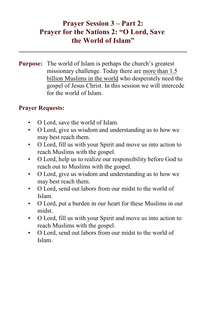# **Prayer Session 3 – Part 2: Prayer for the Nations 2: "O Lord, Save the World of Islam"**

**Purpose:** The world of Islam is perhaps the church's greatest missionary challenge. Today there are more than 1.5 billion Muslims in the world who desperately need the gospel of Jesus Christ. In this session we will intercede for the world of Islam.

- O Lord, save the world of Islam.
- O Lord, give us wisdom and understanding as to how we may best reach them.
- O Lord, fill us with your Spirit and move us into action to reach Muslims with the gospel.
- O Lord, help us to realize our responsibility before God to reach out to Muslims with the gospel.
- O Lord, give us wisdom and understanding as to how we may best reach them.
- O Lord, send out labors from our midst to the world of Islam.
- O Lord, put a burden in our heart for these Muslims in our midst.
- O Lord, fill us with your Spirit and move us into action to reach Muslims with the gospel.
- O Lord, send out labors from our midst to the world of Islam.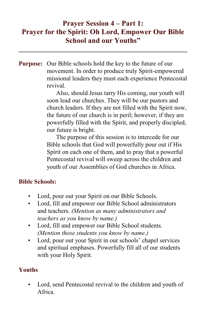# **Prayer Session 4 – Part 1: Prayer for the Spirit: Oh Lord, Empower Our Bible School and our Youths"**

**Purpose:** Our Bible schools hold the key to the future of our movement. In order to produce truly Spirit-empowered missional leaders they must each experience Pentecostal revival.

> Also, should Jesus tarry His coming, our youth will soon lead our churches. They will be our pastors and church leaders. If they are not filled with the Spirit now, the future of our church is in peril; however, if they are powerfully filled with the Spirit, and properly discipled, our future is bright.

The purpose of this session is to intercede for our Bible schools that God will powerfully pour out if His Spirit on each one of them, and to pray that a powerful Pentecostal revival will sweep across the children and youth of our Assemblies of God churches in Africa.

## **Bible Schools:**

- Lord, pour out your Spirit on our Bible Schools.
- Lord, fill and empower our Bible School administrators and teachers. *(Mention as many administrators and teachers as you know by name.)*
- Lord, fill and empower our Bible School students. *(Mention those students you know by name.)*
- Lord, pour out your Spirit in our schools' chapel services and spiritual emphases. Powerfully fill all of our students with your Holy Spirit.

## **Youths**

Lord, send Pentecostal revival to the children and youth of Africa.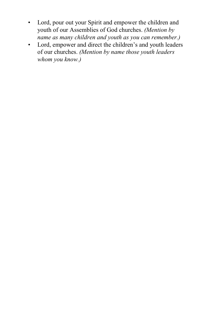- Lord, pour out your Spirit and empower the children and youth of our Assemblies of God churches. *(Mention by name as many children and youth as you can remember.)*
- Lord, empower and direct the children's and youth leaders of our churches. *(Mention by name those youth leaders whom you know.)*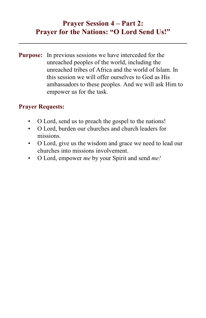# **Prayer Session 4 – Part 2: Prayer for the Nations: "O Lord Send Us!"**

**Purpose:** In previous sessions we have interceded for the unreached peoples of the world, including the unreached tribes of Africa and the world of Islam. In this session we will offer ourselves to God as His ambassadors to these peoples. And we will ask Him to empower us for the task.

- O Lord, send us to preach the gospel to the nations!
- O Lord, burden our churches and church leaders for missions.
- O Lord, give us the wisdom and grace we need to lead our churches into missions involvement.
- O Lord, empower *me* by your Spirit and send *me!*